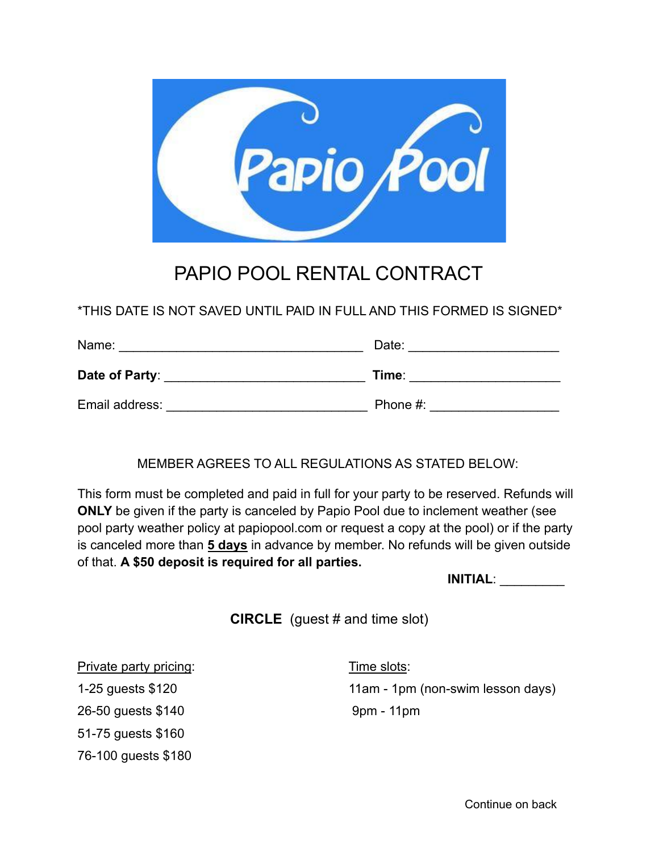

## PAPIO POOL RENTAL CONTRACT

\*THIS DATE IS NOT SAVED UNTIL PAID IN FULL AND THIS FORMED IS SIGNED\*

| Name:          | Date:       |
|----------------|-------------|
| Date of Party: | Time∶       |
| Email address: | Phone $#$ : |

MEMBER AGREES TO ALL REGULATIONS AS STATED BELOW:

This form must be completed and paid in full for your party to be reserved. Refunds will **ONLY** be given if the party is canceled by Papio Pool due to inclement weather (see pool party weather policy at papiopool.com or request a copy at the pool) or if the party is canceled more than **5 days** in advance by member. No refunds will be given outside of that. **A \$50 deposit is required for all parties.**

**INITIAL**: \_\_\_\_\_\_\_\_\_

**CIRCLE** (guest # and time slot)

Private party pricing: Time slots:

26-50 guests \$140 9pm - 11pm 51-75 guests \$160 76-100 guests \$180

1-25 guests \$120 11am - 1pm (non-swim lesson days)